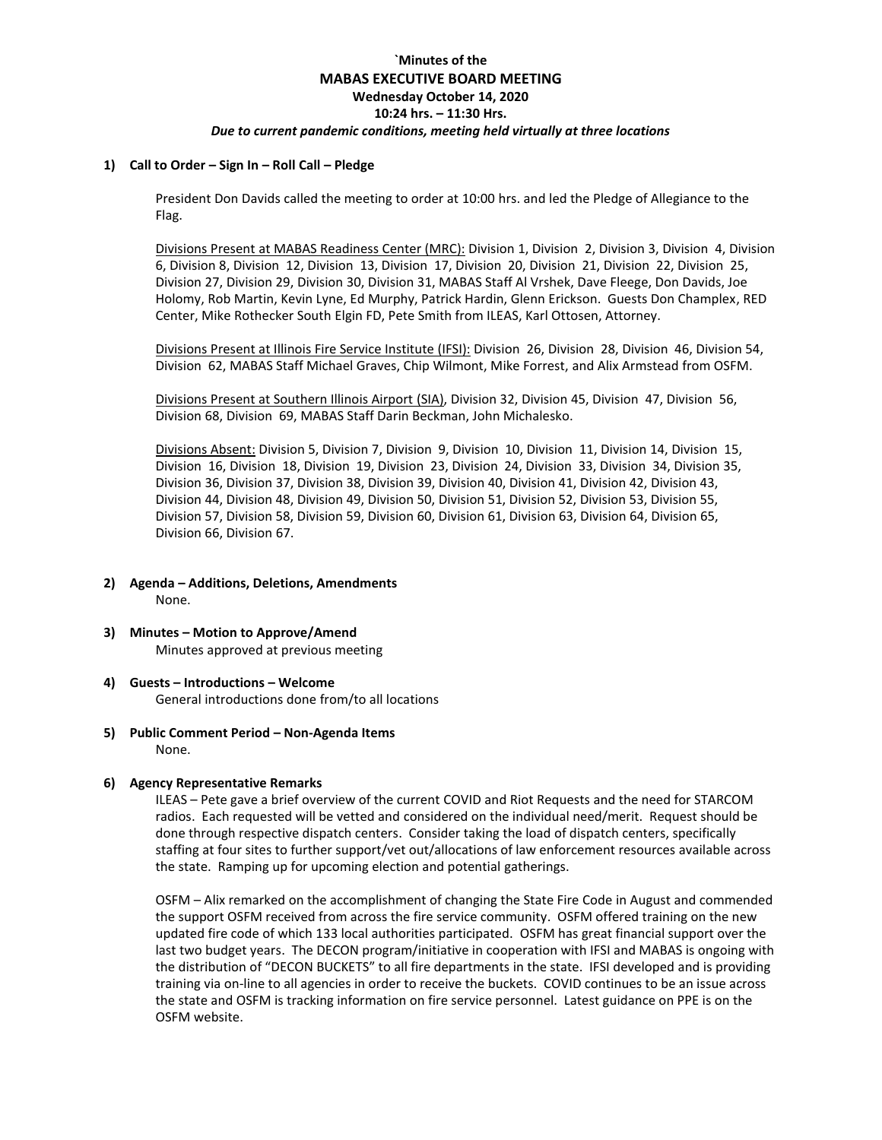# **`Minutes of the MABAS EXECUTIVE BOARD MEETING Wednesday October 14, 2020 10:24 hrs. – 11:30 Hrs.**

#### *Due to current pandemic conditions, meeting held virtually at three locations*

#### **1) Call to Order – Sign In – Roll Call – Pledge**

President Don Davids called the meeting to order at 10:00 hrs. and led the Pledge of Allegiance to the Flag.

Divisions Present at MABAS Readiness Center (MRC): Division 1, Division 2, Division 3, Division 4, Division 6, Division 8, Division 12, Division 13, Division 17, Division 20, Division 21, Division 22, Division 25, Division 27, Division 29, Division 30, Division 31, MABAS Staff Al Vrshek, Dave Fleege, Don Davids, Joe Holomy, Rob Martin, Kevin Lyne, Ed Murphy, Patrick Hardin, Glenn Erickson. Guests Don Champlex, RED Center, Mike Rothecker South Elgin FD, Pete Smith from ILEAS, Karl Ottosen, Attorney.

Divisions Present at Illinois Fire Service Institute (IFSI): Division 26, Division 28, Division 46, Division 54, Division 62, MABAS Staff Michael Graves, Chip Wilmont, Mike Forrest, and Alix Armstead from OSFM.

Divisions Present at Southern Illinois Airport (SIA), Division 32, Division 45, Division 47, Division 56, Division 68, Division 69, MABAS Staff Darin Beckman, John Michalesko.

Divisions Absent: Division 5, Division 7, Division 9, Division 10, Division 11, Division 14, Division 15, Division 16, Division 18, Division 19, Division 23, Division 24, Division 33, Division 34, Division 35, Division 36, Division 37, Division 38, Division 39, Division 40, Division 41, Division 42, Division 43, Division 44, Division 48, Division 49, Division 50, Division 51, Division 52, Division 53, Division 55, Division 57, Division 58, Division 59, Division 60, Division 61, Division 63, Division 64, Division 65, Division 66, Division 67.

- **2) Agenda – Additions, Deletions, Amendments** None.
- **3) Minutes – Motion to Approve/Amend** Minutes approved at previous meeting
- **4) Guests – Introductions – Welcome** General introductions done from/to all locations
- **5) Public Comment Period – Non-Agenda Items** None.

### **6) Agency Representative Remarks**

ILEAS – Pete gave a brief overview of the current COVID and Riot Requests and the need for STARCOM radios. Each requested will be vetted and considered on the individual need/merit. Request should be done through respective dispatch centers. Consider taking the load of dispatch centers, specifically staffing at four sites to further support/vet out/allocations of law enforcement resources available across the state. Ramping up for upcoming election and potential gatherings.

OSFM – Alix remarked on the accomplishment of changing the State Fire Code in August and commended the support OSFM received from across the fire service community. OSFM offered training on the new updated fire code of which 133 local authorities participated. OSFM has great financial support over the last two budget years. The DECON program/initiative in cooperation with IFSI and MABAS is ongoing with the distribution of "DECON BUCKETS" to all fire departments in the state. IFSI developed and is providing training via on-line to all agencies in order to receive the buckets. COVID continues to be an issue across the state and OSFM is tracking information on fire service personnel. Latest guidance on PPE is on the OSFM website.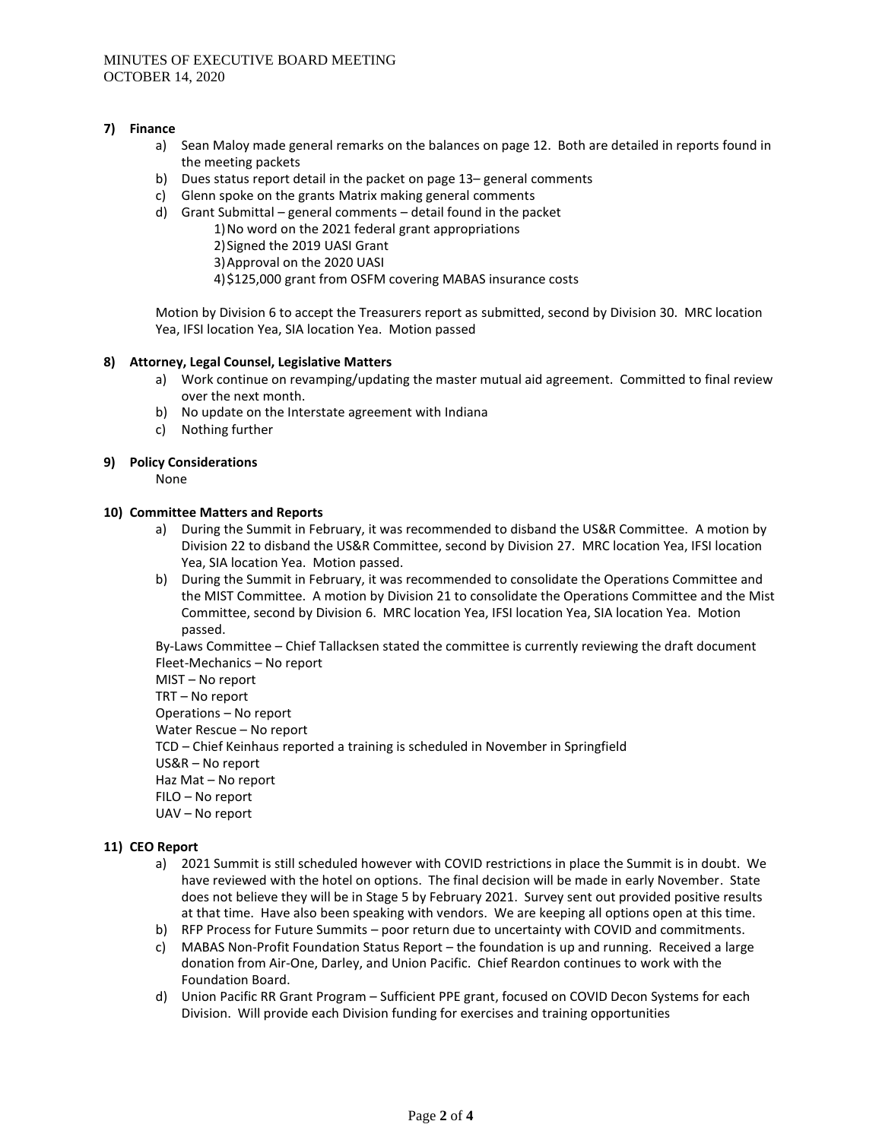## **7) Finance**

- a) Sean Maloy made general remarks on the balances on page 12. Both are detailed in reports found in the meeting packets
- b) Dues status report detail in the packet on page 13– general comments
- c) Glenn spoke on the grants Matrix making general comments
- d) Grant Submittal general comments detail found in the packet
	- 1)No word on the 2021 federal grant appropriations
		- 2)Signed the 2019 UASI Grant
		- 3)Approval on the 2020 UASI
	- 4)\$125,000 grant from OSFM covering MABAS insurance costs

Motion by Division 6 to accept the Treasurers report as submitted, second by Division 30. MRC location Yea, IFSI location Yea, SIA location Yea. Motion passed

## **8) Attorney, Legal Counsel, Legislative Matters**

- a) Work continue on revamping/updating the master mutual aid agreement. Committed to final review over the next month.
- b) No update on the Interstate agreement with Indiana
- c) Nothing further

## **9) Policy Considerations**

None

## **10) Committee Matters and Reports**

- a) During the Summit in February, it was recommended to disband the US&R Committee. A motion by Division 22 to disband the US&R Committee, second by Division 27. MRC location Yea, IFSI location Yea, SIA location Yea. Motion passed.
- b) During the Summit in February, it was recommended to consolidate the Operations Committee and the MIST Committee. A motion by Division 21 to consolidate the Operations Committee and the Mist Committee, second by Division 6. MRC location Yea, IFSI location Yea, SIA location Yea. Motion passed.

By-Laws Committee – Chief Tallacksen stated the committee is currently reviewing the draft document Fleet-Mechanics – No report

MIST – No report TRT – No report Operations – No report Water Rescue – No report TCD – Chief Keinhaus reported a training is scheduled in November in Springfield US&R – No report Haz Mat – No report FILO – No report UAV – No report

# **11) CEO Report**

- a) 2021 Summit is still scheduled however with COVID restrictions in place the Summit is in doubt. We have reviewed with the hotel on options. The final decision will be made in early November. State does not believe they will be in Stage 5 by February 2021. Survey sent out provided positive results at that time. Have also been speaking with vendors. We are keeping all options open at this time.
- b) RFP Process for Future Summits poor return due to uncertainty with COVID and commitments.
- c) MABAS Non-Profit Foundation Status Report the foundation is up and running. Received a large donation from Air-One, Darley, and Union Pacific. Chief Reardon continues to work with the Foundation Board.
- d) Union Pacific RR Grant Program Sufficient PPE grant, focused on COVID Decon Systems for each Division. Will provide each Division funding for exercises and training opportunities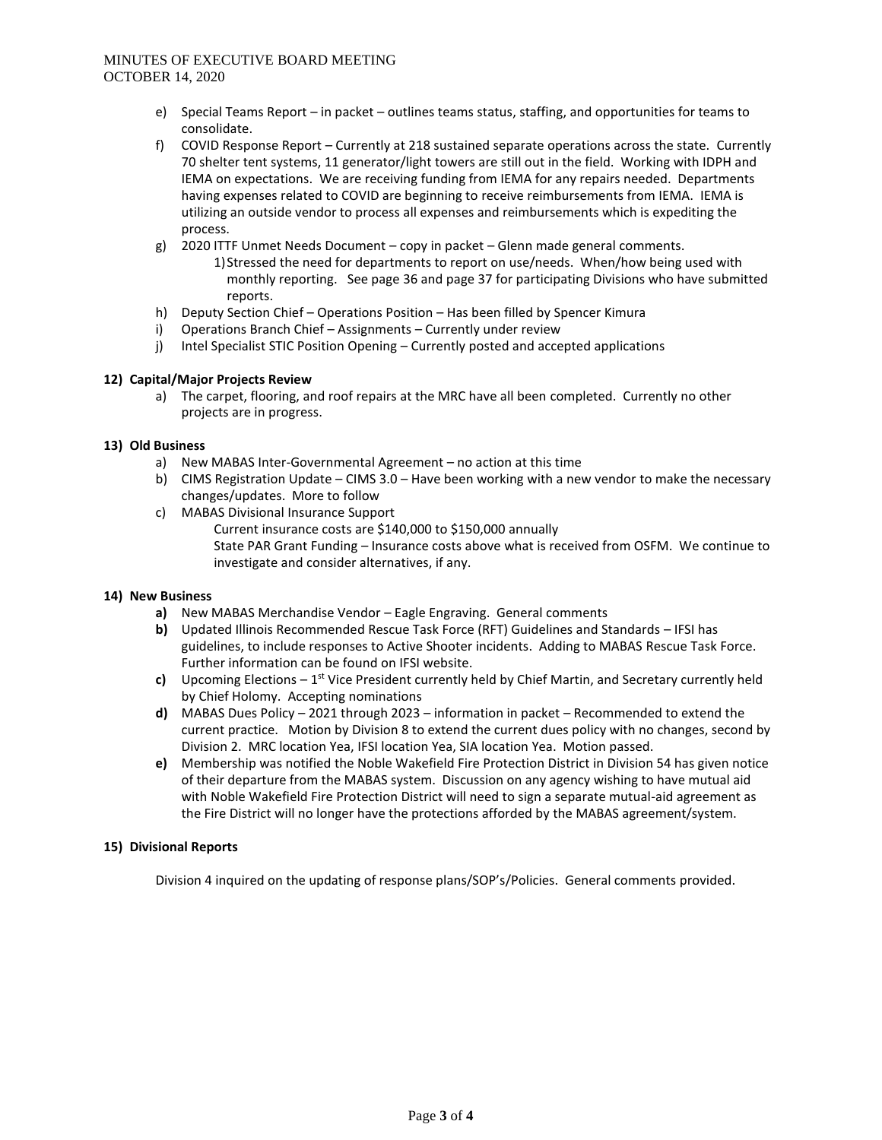# MINUTES OF EXECUTIVE BOARD MEETING OCTOBER 14, 2020

- e) Special Teams Report in packet outlines teams status, staffing, and opportunities for teams to consolidate.
- f) COVID Response Report Currently at 218 sustained separate operations across the state. Currently 70 shelter tent systems, 11 generator/light towers are still out in the field. Working with IDPH and IEMA on expectations. We are receiving funding from IEMA for any repairs needed. Departments having expenses related to COVID are beginning to receive reimbursements from IEMA. IEMA is utilizing an outside vendor to process all expenses and reimbursements which is expediting the process.
- g) 2020 ITTF Unmet Needs Document copy in packet Glenn made general comments.
	- 1)Stressed the need for departments to report on use/needs. When/how being used with monthly reporting. See page 36 and page 37 for participating Divisions who have submitted reports.
- h) Deputy Section Chief Operations Position Has been filled by Spencer Kimura
- i) Operations Branch Chief Assignments Currently under review
- j) Intel Specialist STIC Position Opening Currently posted and accepted applications

## **12) Capital/Major Projects Review**

a) The carpet, flooring, and roof repairs at the MRC have all been completed. Currently no other projects are in progress.

## **13) Old Business**

- a) New MABAS Inter-Governmental Agreement no action at this time
- b) CIMS Registration Update CIMS 3.0 Have been working with a new vendor to make the necessary changes/updates. More to follow
- c) MABAS Divisional Insurance Support
	- Current insurance costs are \$140,000 to \$150,000 annually State PAR Grant Funding – Insurance costs above what is received from OSFM. We continue to investigate and consider alternatives, if any.

### **14) New Business**

- **a)** New MABAS Merchandise Vendor Eagle Engraving. General comments
- **b)** Updated Illinois Recommended Rescue Task Force (RFT) Guidelines and Standards IFSI has guidelines, to include responses to Active Shooter incidents. Adding to MABAS Rescue Task Force. Further information can be found on IFSI website.
- c) Upcoming Elections 1<sup>st</sup> Vice President currently held by Chief Martin, and Secretary currently held by Chief Holomy. Accepting nominations
- **d)** MABAS Dues Policy 2021 through 2023 information in packet Recommended to extend the current practice. Motion by Division 8 to extend the current dues policy with no changes, second by Division 2. MRC location Yea, IFSI location Yea, SIA location Yea. Motion passed.
- **e)** Membership was notified the Noble Wakefield Fire Protection District in Division 54 has given notice of their departure from the MABAS system. Discussion on any agency wishing to have mutual aid with Noble Wakefield Fire Protection District will need to sign a separate mutual-aid agreement as the Fire District will no longer have the protections afforded by the MABAS agreement/system.

# **15) Divisional Reports**

Division 4 inquired on the updating of response plans/SOP's/Policies. General comments provided.